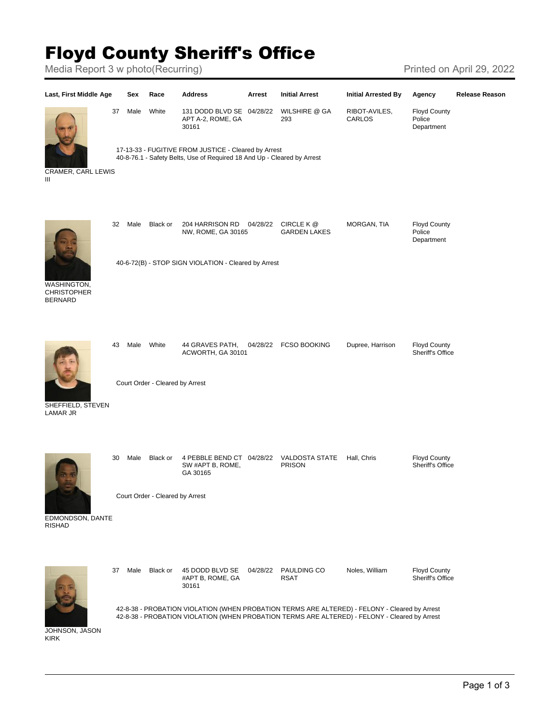## Floyd County Sheriff's Office

Media Report 3 w photo(Recurring) Media Report 3 w photo(Recurring)



KIRK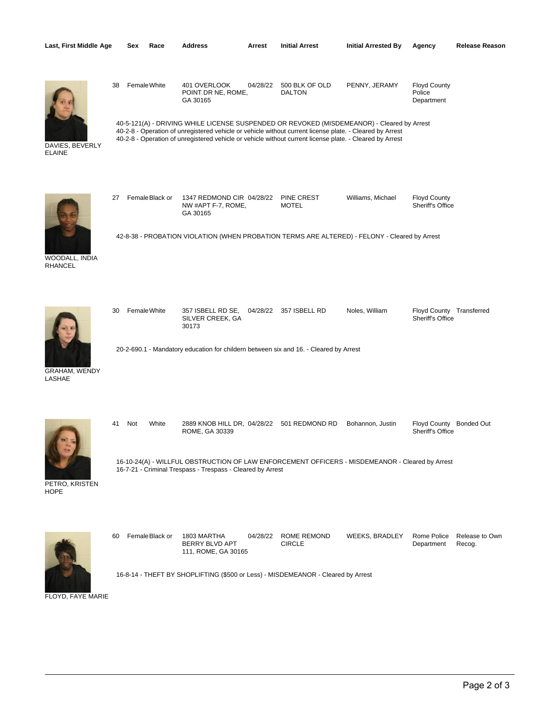| Last, First Middle Age                  | Sex       | Race            | Address                                                                                                                                                                                                                                                                                                                                                              | Arrest   | <b>Initial Arrest</b>             | <b>Initial Arrested By</b> | Agency                                       | <b>Release Reason</b>    |
|-----------------------------------------|-----------|-----------------|----------------------------------------------------------------------------------------------------------------------------------------------------------------------------------------------------------------------------------------------------------------------------------------------------------------------------------------------------------------------|----------|-----------------------------------|----------------------------|----------------------------------------------|--------------------------|
| DAVIES, BEVERLY<br><b>ELAINE</b>        | 38        | Female White    | 401 OVERLOOK<br>POINT DR NE, ROME,<br>GA 30165<br>40-5-121(A) - DRIVING WHILE LICENSE SUSPENDED OR REVOKED (MISDEMEANOR) - Cleared by Arrest<br>40-2-8 - Operation of unregistered vehicle or vehicle without current license plate. - Cleared by Arrest<br>40-2-8 - Operation of unregistered vehicle or vehicle without current license plate. - Cleared by Arrest | 04/28/22 | 500 BLK OF OLD<br><b>DALTON</b>   | PENNY, JERAMY              | <b>Floyd County</b><br>Police<br>Department  |                          |
| <b>WOODALL, INDIA</b><br><b>RHANCEL</b> | 27        | Female Black or | 1347 REDMOND CIR 04/28/22<br>NW #APT F-7, ROME,<br>GA 30165<br>42-8-38 - PROBATION VIOLATION (WHEN PROBATION TERMS ARE ALTERED) - FELONY - Cleared by Arrest                                                                                                                                                                                                         |          | <b>PINE CREST</b><br><b>MOTEL</b> | Williams, Michael          | <b>Floyd County</b><br>Sheriff's Office      |                          |
| GRAHAM, WENDY<br>LASHAE                 | 30        | Female White    | 357 ISBELL RD SE,<br>SILVER CREEK, GA<br>30173<br>20-2-690.1 - Mandatory education for childern between six and 16. - Cleared by Arrest                                                                                                                                                                                                                              |          | 04/28/22 357 ISBELL RD            | Noles, William             | Floyd County Transferred<br>Sheriff's Office |                          |
| PETRO, KRISTEN<br><b>HOPE</b>           | 41<br>Not | White           | 2889 KNOB HILL DR, 04/28/22 501 REDMOND RD<br>ROME, GA 30339<br>16-10-24(A) - WILLFUL OBSTRUCTION OF LAW ENFORCEMENT OFFICERS - MISDEMEANOR - Cleared by Arrest<br>16-7-21 - Criminal Trespass - Trespass - Cleared by Arrest                                                                                                                                        |          |                                   | Bohannon, Justin           | Floyd County Bonded Out<br>Sheriff's Office  |                          |
|                                         | 60        | FemaleBlack or  | 1803 MARTHA<br>BERRY BLVD APT<br>111, ROME, GA 30165<br>16-8-14 - THEFT BY SHOPLIFTING (\$500 or Less) - MISDEMEANOR - Cleared by Arrest                                                                                                                                                                                                                             | 04/28/22 | ROME REMOND<br><b>CIRCLE</b>      | <b>WEEKS, BRADLEY</b>      | Rome Police<br>Department                    | Release to Own<br>Recog. |

FLOYD, FAYE MARIE